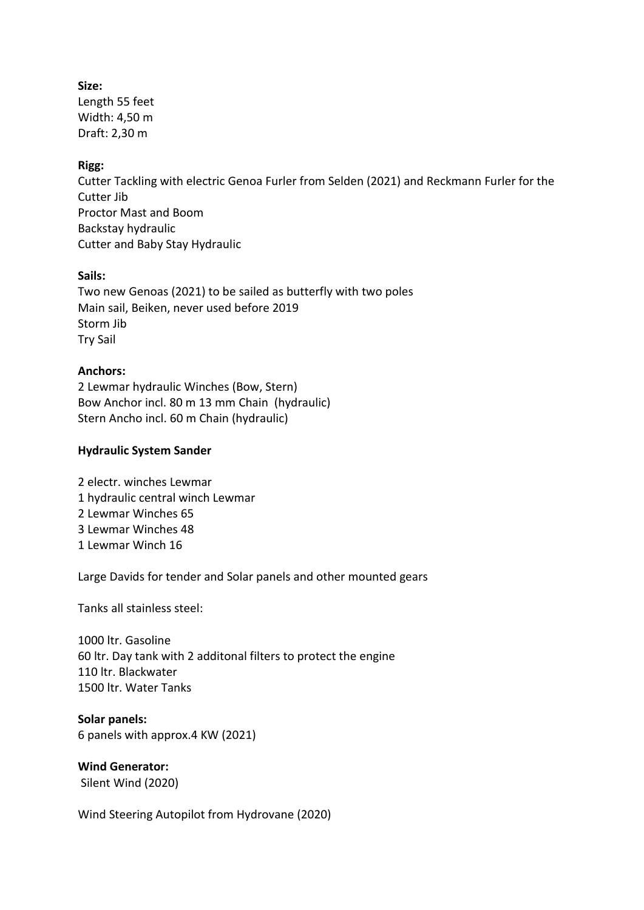**Size:** Length 55 feet Width: 4,50 m Draft: 2,30 m

### **Rigg:**

Cutter Tackling with electric Genoa Furler from Selden (2021) and Reckmann Furler for the Cutter lib Proctor Mast and Boom Backstay hydraulic Cutter and Baby Stay Hydraulic

### **Sails:**

Two new Genoas (2021) to be sailed as butterfly with two poles Main sail, Beiken, never used before 2019 Storm Jib Try Sail

#### **Anchors:**

2 Lewmar hydraulic Winches (Bow, Stern) Bow Anchor incl. 80 m 13 mm Chain (hydraulic) Stern Ancho incl. 60 m Chain (hydraulic)

#### **Hydraulic System Sander**

2 electr. winches Lewmar 1 hydraulic central winch Lewmar 2 Lewmar Winches 65 3 Lewmar Winches 48 1 Lewmar Winch 16

Large Davids for tender and Solar panels and other mounted gears

Tanks all stainless steel:

1000 ltr. Gasoline 60 ltr. Day tank with 2 additonal filters to protect the engine 110 ltr. Blackwater 1500 ltr. Water Tanks

**Solar panels:** 6 panels with approx.4 KW (2021)

**Wind Generator:** Silent Wind (2020)

Wind Steering Autopilot from Hydrovane (2020)